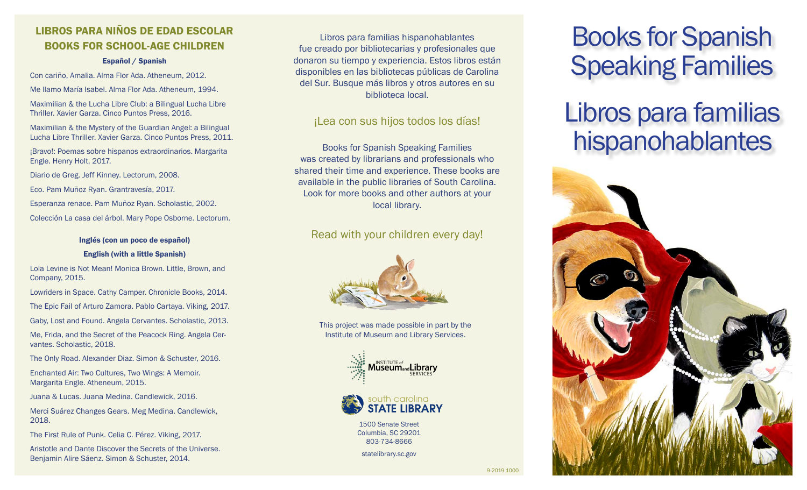# LIBROS PARA NIÑOS DE EDAD ESCOLAR BOOKS FOR SCHOOL-AGE CHILDREN

## Español / Spanish

Con cariño, Amalia. Alma Flor Ada. Atheneum, 2012.

Me llamo María Isabel. Alma Flor Ada. Atheneum, 1994.

Maximilian & the Lucha Libre Club: a Bilingual Lucha Libre Thriller. Xavier Garza. Cinco Puntos Press, 2016.

Maximilian & the Mystery of the Guardian Angel: a Bilingual Lucha Libre Thriller. Xavier Garza. Cinco Puntos Press, 2011.

¡Bravo!: Poemas sobre hispanos extraordinarios. Margarita Engle. Henry Holt, 2017.

Diario de Greg. Jeff Kinney. Lectorum, 2008.

Eco. Pam Muñoz Ryan. Grantravesía, 2017.

Esperanza renace. Pam Muñoz Ryan. Scholastic, 2002.

Colección La casa del árbol. Mary Pope Osborne. Lectorum.

## Inglés (con un poco de español)

## English (with a little Spanish)

Lola Levine is Not Mean! Monica Brown. Little, Brown, and Company, 2015.

Lowriders in Space. Cathy Camper. Chronicle Books, 2014.

The Epic Fail of Arturo Zamora. Pablo Cartaya. Viking, 2017.

Gaby, Lost and Found. Angela Cervantes. Scholastic, 2013.

Me, Frida, and the Secret of the Peacock Ring. Angela Cervantes. Scholastic, 2018.

The Only Road. Alexander Diaz. Simon & Schuster, 2016.

Enchanted Air: Two Cultures, Two Wings: A Memoir. Margarita Engle. Atheneum, 2015.

Juana & Lucas. Juana Medina. Candlewick, 2016.

Merci Suárez Changes Gears. Meg Medina. Candlewick, 2018.

The First Rule of Punk. Celia C. Pérez. Viking, 2017.

Aristotle and Dante Discover the Secrets of the Universe. Benjamin Alire Sáenz. Simon & Schuster, 2014.

Libros para familias hispanohablantes fue creado por bibliotecarias y profesionales que donaron su tiempo y experiencia. Estos libros están disponibles en las bibliotecas públicas de Carolina del Sur. Busque más libros y otros autores en su biblioteca local.

## ¡Lea con sus hijos todos los días!

Books for Spanish Speaking Families was created by librarians and professionals who shared their time and experience. These books are available in the public libraries of South Carolina. Look for more books and other authors at your local library.

## Read with your children every day!



This project was made possible in part by the Institute of Museum and Library Services.





1500 Senate Street Columbia, SC 29201 803-734-8666

statelibrary.sc.gov

# Books for Spanish Speaking Families

# Libros para familias hispanohablantes